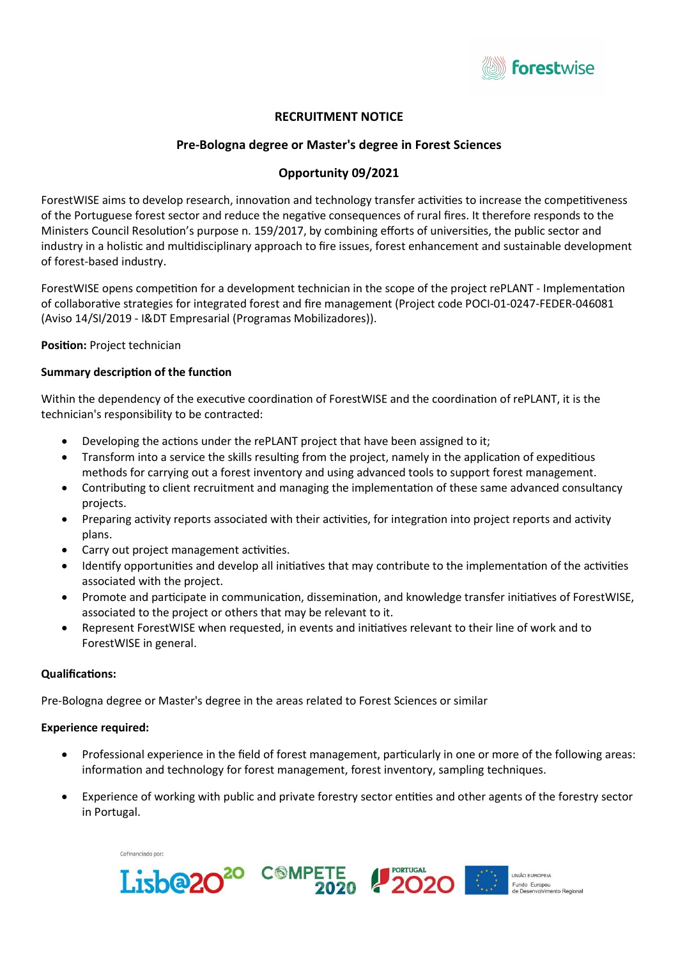

# RECRUITMENT NOTICE

# Pre-Bologna degree or Master's degree in Forest Sciences

# Opportunity 09/2021

ForestWISE aims to develop research, innovation and technology transfer activities to increase the competitiveness of the Portuguese forest sector and reduce the negative consequences of rural fires. It therefore responds to the Ministers Council Resolution's purpose n. 159/2017, by combining efforts of universities, the public sector and industry in a holistic and multidisciplinary approach to fire issues, forest enhancement and sustainable development of forest-based industry.

ForestWISE opens competition for a development technician in the scope of the project rePLANT - Implementation of collaboraƟve strategies for integrated forest and fire management (Project code POCI-01-0247-FEDER-046081 (Aviso 14/SI/2019 - I&DT Empresarial (Programas Mobilizadores)).

Position: Project technician

#### Summary description of the function

Within the dependency of the executive coordination of ForestWISE and the coordination of rePLANT, it is the technician's responsibility to be contracted:

- Developing the actions under the rePLANT project that have been assigned to it;
- Transform into a service the skills resulting from the project, namely in the application of expeditious methods for carrying out a forest inventory and using advanced tools to support forest management.
- Contributing to client recruitment and managing the implementation of these same advanced consultancy projects.
- Preparing activity reports associated with their activities, for integration into project reports and activity plans.
- Carry out project management activities.
- Identify opportunities and develop all initiatives that may contribute to the implementation of the activities associated with the project.
- Promote and participate in communication, dissemination, and knowledge transfer initiatives of ForestWISE, associated to the project or others that may be relevant to it.
- Represent ForestWISE when requested, in events and initiatives relevant to their line of work and to ForestWISE in general.

#### Qualifications:

Pre-Bologna degree or Master's degree in the areas related to Forest Sciences or similar

## Experience required:

- Professional experience in the field of forest management, particularly in one or more of the following areas: information and technology for forest management, forest inventory, sampling techniques.
- Experience of working with public and private forestry sector entities and other agents of the forestry sector in Portugal.



Lisb@<sub>20</sub>

20